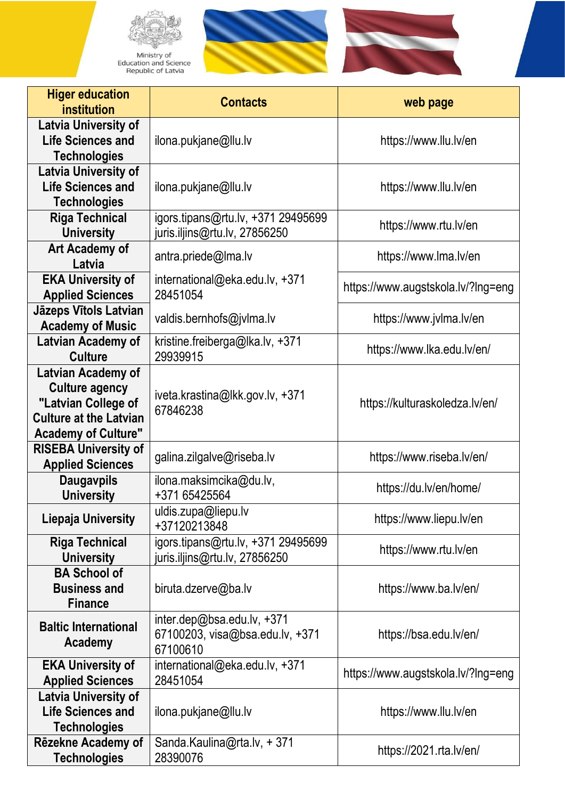

Ministry of<br>Education and Science<br>Republic of Latvia





| <b>Higer education</b><br>institution                                                                                             | <b>Contacts</b>                                                             | web page                           |
|-----------------------------------------------------------------------------------------------------------------------------------|-----------------------------------------------------------------------------|------------------------------------|
| <b>Latvia University of</b><br><b>Life Sciences and</b><br><b>Technologies</b>                                                    | ilona.pukjane@llu.lv                                                        | https://www.llu.lv/en              |
| <b>Latvia University of</b><br><b>Life Sciences and</b><br><b>Technologies</b>                                                    | ilona.pukjane@llu.lv                                                        | https://www.llu.lv/en              |
| <b>Riga Technical</b><br><b>University</b>                                                                                        | igors.tipans@rtu.lv, +371 29495699<br>juris.iljins@rtu.lv, 27856250         | https://www.rtu.lv/en              |
| Art Academy of<br>Latvia                                                                                                          | antra.priede@lma.lv                                                         | https://www.lma.lv/en              |
| <b>EKA University of</b><br><b>Applied Sciences</b>                                                                               | international@eka.edu.lv, +371<br>28451054                                  | https://www.augstskola.lv/?lng=eng |
| <b>Jāzeps Vītols Latvian</b><br><b>Academy of Music</b>                                                                           | valdis.bernhofs@jvlma.lv                                                    | https://www.jvlma.lv/en            |
| Latvian Academy of<br><b>Culture</b>                                                                                              | kristine.freiberga@lka.lv, +371<br>29939915                                 | https://www.lka.edu.lv/en/         |
| Latvian Academy of<br><b>Culture agency</b><br>"Latvian College of<br><b>Culture at the Latvian</b><br><b>Academy of Culture"</b> | iveta.krastina@lkk.gov.lv, +371<br>67846238                                 | https://kulturaskoledza.lv/en/     |
| <b>RISEBA University of</b><br><b>Applied Sciences</b>                                                                            | galina.zilgalve@riseba.lv                                                   | https://www.riseba.lv/en/          |
| <b>Daugavpils</b><br><b>University</b>                                                                                            | ilona.maksimcika@du.lv,<br>+371 65425564                                    | https://du.lv/en/home/             |
| Liepaja University                                                                                                                | uldis.zupa@liepu.lv<br>+37120213848                                         | https://www.liepu.lv/en            |
| <b>Riga Technical</b><br><b>University</b>                                                                                        | igors.tipans@rtu.lv, +371 29495699<br>juris.iljins@rtu.lv, 27856250         | https://www.rtu.lv/en              |
| <b>BA School of</b><br><b>Business and</b><br><b>Finance</b>                                                                      | biruta.dzerve@ba.lv                                                         | https://www.ba.lv/en/              |
| <b>Baltic International</b><br>Academy                                                                                            | inter.dep@bsa.edu.lv, $+371$<br>67100203, visa@bsa.edu.lv, +371<br>67100610 | https://bsa.edu.lv/en/             |
| <b>EKA University of</b><br><b>Applied Sciences</b>                                                                               | international@eka.edu.lv, +371<br>28451054                                  | https://www.augstskola.lv/?Ing=eng |
| <b>Latvia University of</b><br><b>Life Sciences and</b><br><b>Technologies</b>                                                    | ilona.pukjane@llu.lv                                                        | https://www.llu.lv/en              |
| Rēzekne Academy of<br><b>Technologies</b>                                                                                         | Sanda.Kaulina@rta.lv, +371<br>28390076                                      | https://2021.rta.lv/en/            |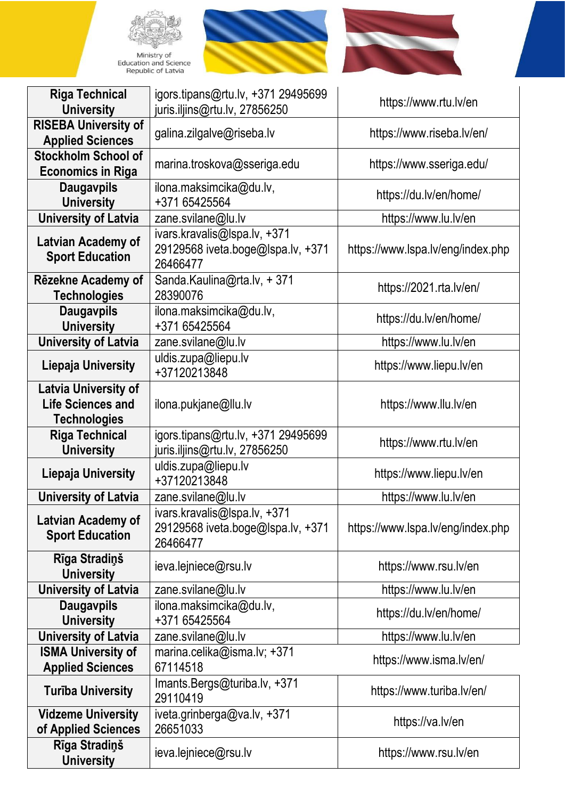





| <b>Riga Technical</b><br><b>University</b>                                     | igors.tipans@rtu.lv, +371 29495699<br>juris.iljins@rtu.lv, 27856250           | https://www.rtu.lv/en             |
|--------------------------------------------------------------------------------|-------------------------------------------------------------------------------|-----------------------------------|
| <b>RISEBA University of</b><br><b>Applied Sciences</b>                         | galina.zilgalve@riseba.lv                                                     | https://www.riseba.lv/en/         |
| <b>Stockholm School of</b><br><b>Economics in Riga</b>                         | marina.troskova@sseriga.edu                                                   | https://www.sseriga.edu/          |
| <b>Daugavpils</b><br><b>University</b>                                         | ilona.maksimcika@du.lv,<br>+371 65425564                                      | https://du.lv/en/home/            |
| <b>University of Latvia</b>                                                    | zane.svilane@lu.lv                                                            | https://www.lu.lv/en              |
| <b>Latvian Academy of</b><br><b>Sport Education</b>                            | ivars.kravalis@Ispa.lv, +371<br>29129568 iveta.boge@lspa.lv, +371<br>26466477 | https://www.lspa.lv/eng/index.php |
| Rēzekne Academy of<br><b>Technologies</b>                                      | Sanda.Kaulina@rta.lv, +371<br>28390076                                        | https://2021.rta.lv/en/           |
| <b>Daugavpils</b><br><b>University</b>                                         | ilona.maksimcika@du.lv,<br>+371 65425564                                      | https://du.lv/en/home/            |
| <b>University of Latvia</b>                                                    | zane.svilane@lu.lv                                                            | https://www.lu.lv/en              |
| <b>Liepaja University</b>                                                      | uldis.zupa@liepu.lv<br>+37120213848                                           | https://www.liepu.lv/en           |
| <b>Latvia University of</b><br><b>Life Sciences and</b><br><b>Technologies</b> | ilona.pukjane@llu.lv                                                          | https://www.llu.lv/en             |
| <b>Riga Technical</b><br><b>University</b>                                     | igors.tipans@rtu.lv, +371 29495699<br>juris.iljins@rtu.lv, 27856250           | https://www.rtu.lv/en             |
| <b>Liepaja University</b>                                                      | uldis.zupa@liepu.lv<br>+37120213848                                           | https://www.liepu.lv/en           |
| <b>University of Latvia</b>                                                    | zane.svilane@lu.lv                                                            | https://www.lu.lv/en              |
| Latvian Academy of<br><b>Sport Education</b>                                   | ivars.kravalis@lspa.lv, +371<br>29129568 iveta.boge@lspa.lv, +371<br>26466477 | https://www.lspa.lv/eng/index.php |
| Rīga Stradiņš<br><b>University</b>                                             | ieva.lejniece@rsu.lv                                                          | https://www.rsu.lv/en             |
| <b>University of Latvia</b>                                                    | zane.svilane@lu.lv                                                            | https://www.lu.lv/en              |
| <b>Daugavpils</b><br><b>University</b>                                         | ilona.maksimcika@du.lv,<br>+371 65425564                                      | https://du.lv/en/home/            |
| <b>University of Latvia</b>                                                    | zane.svilane@lu.lv                                                            | https://www.lu.lv/en              |
| <b>ISMA University of</b><br><b>Applied Sciences</b>                           | marina.celika@isma.lv; +371<br>67114518                                       | https://www.isma.lv/en/           |
| <b>Turiba University</b>                                                       | Imants.Bergs@turiba.lv, +371<br>29110419                                      | https://www.turiba.lv/en/         |
| <b>Vidzeme University</b><br>of Applied Sciences                               | iveta.grinberga@va.lv, +371<br>26651033                                       | https://va.lv/en                  |
| Rīga Stradiņš<br><b>University</b>                                             | ieva.lejniece@rsu.lv                                                          | https://www.rsu.lv/en             |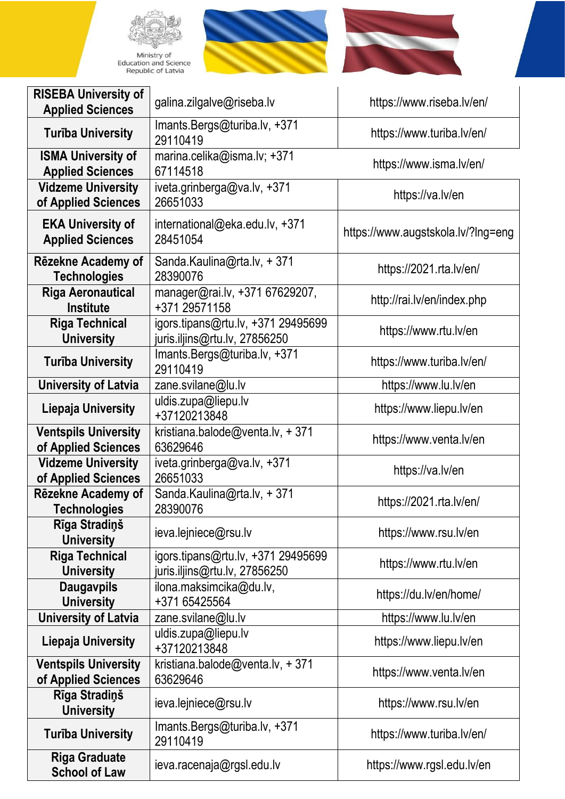





| <b>RISEBA University of</b><br><b>Applied Sciences</b> | galina.zilgalve@riseba.lv                                           | https://www.riseba.lv/en/          |
|--------------------------------------------------------|---------------------------------------------------------------------|------------------------------------|
| <b>Turība University</b>                               | Imants.Bergs@turiba.lv, +371<br>29110419                            | https://www.turiba.lv/en/          |
| <b>ISMA University of</b><br><b>Applied Sciences</b>   | marina.celika@isma.lv; +371<br>67114518                             | https://www.isma.lv/en/            |
| <b>Vidzeme University</b><br>of Applied Sciences       | iveta.grinberga@va.lv, +371<br>26651033                             | https://va.lv/en                   |
| <b>EKA University of</b><br><b>Applied Sciences</b>    | international@eka.edu.lv, +371<br>28451054                          | https://www.augstskola.lv/?lng=eng |
| Rēzekne Academy of<br><b>Technologies</b>              | Sanda.Kaulina@rta.lv, + 371<br>28390076                             | https://2021.rta.lv/en/            |
| <b>Riga Aeronautical</b><br><b>Institute</b>           | manager@rai.lv, +371 67629207,<br>+371 29571158                     | http://rai.lv/en/index.php         |
| <b>Riga Technical</b><br><b>University</b>             | igors.tipans@rtu.lv, +371 29495699<br>juris.iljins@rtu.lv, 27856250 | https://www.rtu.lv/en              |
| <b>Turība University</b>                               | Imants.Bergs@turiba.lv, +371<br>29110419                            | https://www.turiba.lv/en/          |
| <b>University of Latvia</b>                            | zane.svilane@lu.lv                                                  | https://www.lu.lv/en               |
| <b>Liepaja University</b>                              | uldis.zupa@liepu.lv<br>+37120213848                                 | https://www.liepu.lv/en            |
| <b>Ventspils University</b><br>of Applied Sciences     | kristiana.balode@venta.lv, +371<br>63629646                         | https://www.venta.lv/en            |
| <b>Vidzeme University</b><br>of Applied Sciences       | iveta.grinberga@va.lv, +371<br>26651033                             | https://va.lv/en                   |
| Rēzekne Academy of<br><b>Technologies</b>              | Sanda.Kaulina@rta.lv, +371<br>28390076                              | https://2021.rta.lv/en/            |
| Rīga Stradiņš<br><b>University</b>                     | ieva.lejniece@rsu.lv                                                | https://www.rsu.lv/en              |
| <b>Riga Technical</b><br><b>University</b>             | igors.tipans@rtu.lv, +371 29495699<br>juris.iljins@rtu.lv, 27856250 | https://www.rtu.lv/en              |
| <b>Daugavpils</b><br><b>University</b>                 | ilona.maksimcika@du.lv,<br>+371 65425564                            | https://du.lv/en/home/             |
| <b>University of Latvia</b>                            | zane.svilane@lu.lv                                                  | https://www.lu.lv/en               |
| <b>Liepaja University</b>                              | uldis.zupa@liepu.lv<br>+37120213848                                 | https://www.liepu.lv/en            |
| <b>Ventspils University</b><br>of Applied Sciences     | kristiana.balode@venta.lv, +371<br>63629646                         | https://www.venta.lv/en            |
| Rīga Stradiņš<br><b>University</b>                     | ieva.lejniece@rsu.lv                                                | https://www.rsu.lv/en              |
| <b>Turība University</b>                               | Imants.Bergs@turiba.lv, +371<br>29110419                            | https://www.turiba.lv/en/          |
| <b>Riga Graduate</b><br><b>School of Law</b>           | ieva.racenaja@rgsl.edu.lv                                           | https://www.rgsl.edu.lv/en         |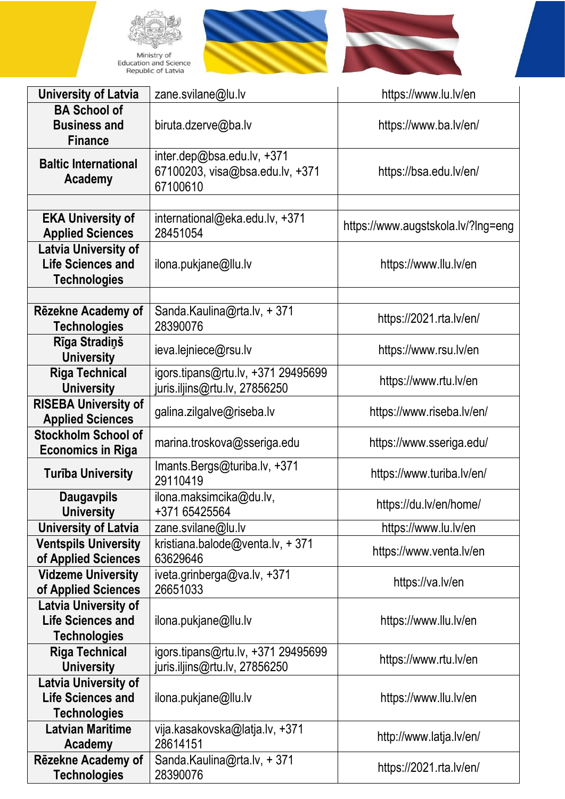





| <b>University of Latvia</b>                                                    | zane.svilane@lu.lv                                                        | https://www.lu.lv/en               |
|--------------------------------------------------------------------------------|---------------------------------------------------------------------------|------------------------------------|
| <b>BA School of</b><br><b>Business and</b><br><b>Finance</b>                   | biruta.dzerve@ba.lv                                                       | https://www.ba.lv/en/              |
| <b>Baltic International</b><br>Academy                                         | inter.dep@bsa.edu.lv, +371<br>67100203, visa@bsa.edu.lv, +371<br>67100610 | https://bsa.edu.lv/en/             |
|                                                                                |                                                                           |                                    |
| <b>EKA University of</b><br><b>Applied Sciences</b>                            | international@eka.edu.lv, +371<br>28451054                                | https://www.augstskola.lv/?lng=eng |
| <b>Latvia University of</b><br><b>Life Sciences and</b><br><b>Technologies</b> | ilona.pukjane@llu.lv                                                      | https://www.llu.lv/en              |
|                                                                                |                                                                           |                                    |
| Rēzekne Academy of<br><b>Technologies</b>                                      | Sanda.Kaulina@rta.lv, +371<br>28390076                                    | https://2021.rta.lv/en/            |
| Rīga Stradiņš<br><b>University</b>                                             | ieva.lejniece@rsu.lv                                                      | https://www.rsu.lv/en              |
| <b>Riga Technical</b><br><b>University</b>                                     | igors.tipans@rtu.lv, +371 29495699<br>juris.iljins@rtu.lv, 27856250       | https://www.rtu.lv/en              |
| <b>RISEBA University of</b><br><b>Applied Sciences</b>                         | galina.zilgalve@riseba.lv                                                 | https://www.riseba.lv/en/          |
| <b>Stockholm School of</b><br><b>Economics in Riga</b>                         | marina.troskova@sseriga.edu                                               | https://www.sseriga.edu/           |
| <b>Turība University</b>                                                       | Imants.Bergs@turiba.lv, +371<br>29110419                                  | https://www.turiba.lv/en/          |
| <b>Daugavpils</b><br><b>University</b>                                         | ilona.maksimcika@du.lv,<br>+371 65425564                                  | https://du.lv/en/home/             |
| <b>University of Latvia</b>                                                    | zane.svilane@lu.lv                                                        | https://www.lu.lv/en               |
| <b>Ventspils University</b><br>of Applied Sciences                             | kristiana.balode@venta.lv, +371<br>63629646                               | https://www.venta.lv/en            |
| <b>Vidzeme University</b><br>of Applied Sciences                               | iveta.grinberga@va.lv, +371<br>26651033                                   | https://va.lv/en                   |
| <b>Latvia University of</b><br><b>Life Sciences and</b><br><b>Technologies</b> | ilona.pukjane@llu.lv                                                      | https://www.llu.lv/en              |
| <b>Riga Technical</b><br><b>University</b>                                     | igors.tipans@rtu.lv, +371 29495699<br>juris.iljins@rtu.lv, 27856250       | https://www.rtu.lv/en              |
| <b>Latvia University of</b><br><b>Life Sciences and</b><br><b>Technologies</b> | ilona.pukjane@llu.lv                                                      | https://www.llu.lv/en              |
| <b>Latvian Maritime</b><br>Academy                                             | vija.kasakovska@latja.lv, +371<br>28614151                                | http://www.latja.lv/en/            |
| Rēzekne Academy of<br><b>Technologies</b>                                      | Sanda.Kaulina@rta.lv, +371<br>28390076                                    | https://2021.rta.lv/en/            |